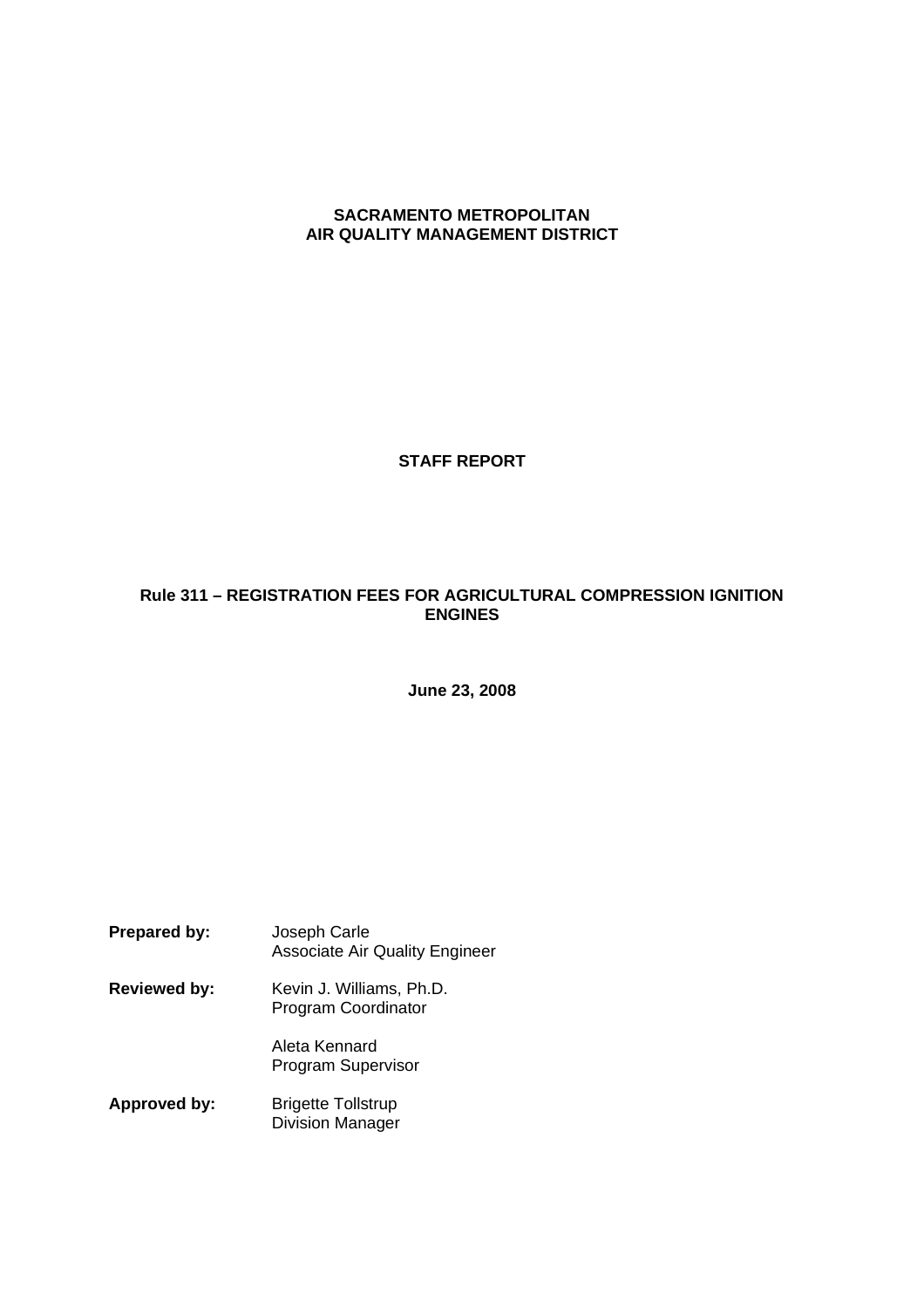# **SACRAMENTO METROPOLITAN AIR QUALITY MANAGEMENT DISTRICT**

**STAFF REPORT**

# **Rule 311 – REGISTRATION FEES FOR AGRICULTURAL COMPRESSION IGNITION ENGINES**

**June 23, 2008**

| <b>Prepared by:</b> | Joseph Carle<br><b>Associate Air Quality Engineer</b>  |
|---------------------|--------------------------------------------------------|
| <b>Reviewed by:</b> | Kevin J. Williams, Ph.D.<br><b>Program Coordinator</b> |
|                     | Aleta Kennard<br><b>Program Supervisor</b>             |
| <b>Approved by:</b> | <b>Brigette Tollstrup</b>                              |

Division Manager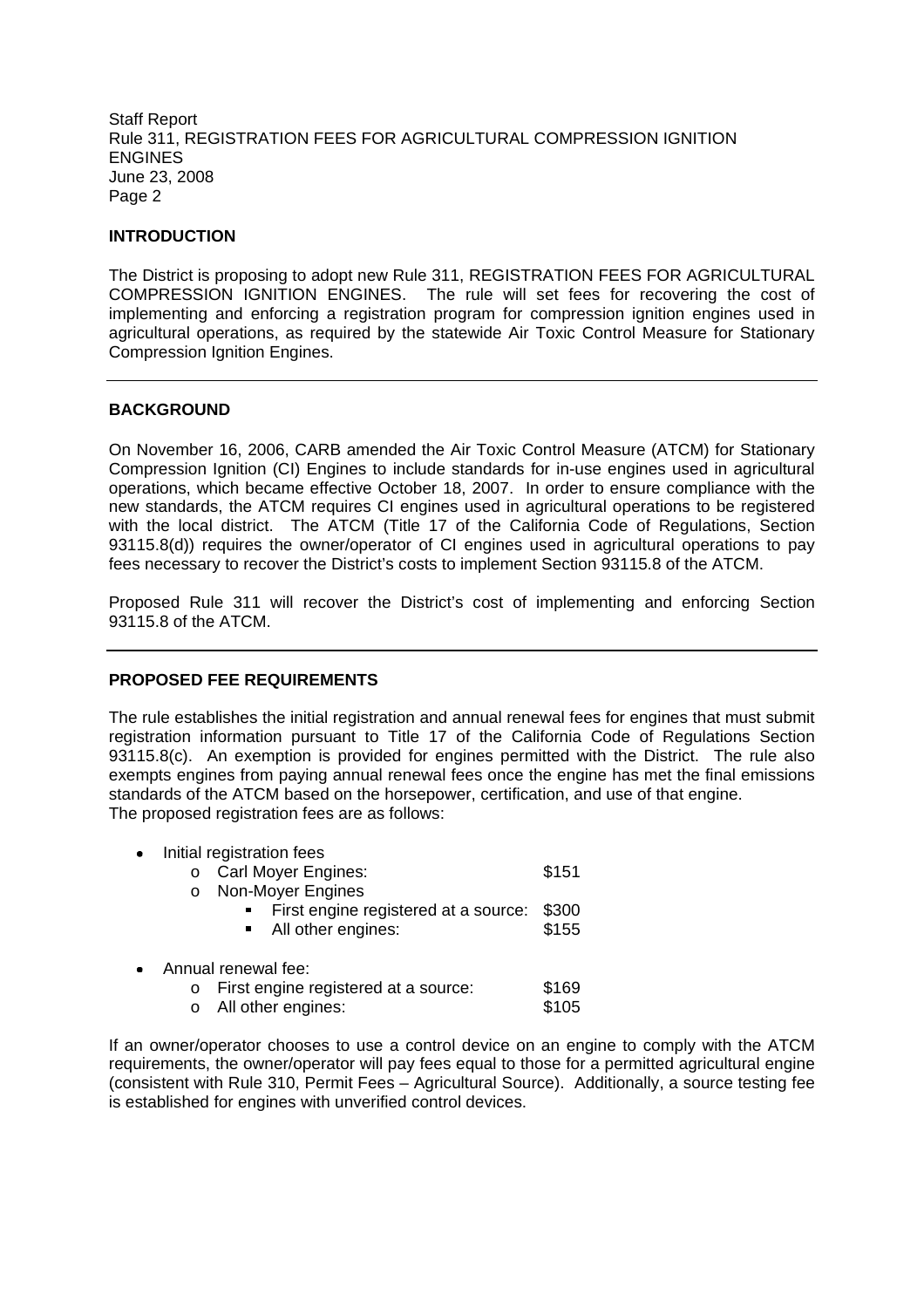#### **INTRODUCTION**

The District is proposing to adopt new Rule 311, REGISTRATION FEES FOR AGRICULTURAL COMPRESSION IGNITION ENGINES. The rule will set fees for recovering the cost of implementing and enforcing a registration program for compression ignition engines used in agricultural operations, as required by the statewide Air Toxic Control Measure for Stationary Compression Ignition Engines.

### **BACKGROUND**

On November 16, 2006, CARB amended the Air Toxic Control Measure (ATCM) for Stationary Compression Ignition (CI) Engines to include standards for in-use engines used in agricultural operations, which became effective October 18, 2007. In order to ensure compliance with the new standards, the ATCM requires CI engines used in agricultural operations to be registered with the local district. The ATCM (Title 17 of the California Code of Regulations, Section 93115.8(d)) requires the owner/operator of CI engines used in agricultural operations to pay fees necessary to recover the District's costs to implement Section 93115.8 of the ATCM.

Proposed Rule 311 will recover the District's cost of implementing and enforcing Section 93115.8 of the ATCM.

# **PROPOSED FEE REQUIREMENTS**

The rule establishes the initial registration and annual renewal fees for engines that must submit registration information pursuant to Title 17 of the California Code of Regulations Section 93115.8(c). An exemption is provided for engines permitted with the District. The rule also exempts engines from paying annual renewal fees once the engine has met the final emissions standards of the ATCM based on the horsepower, certification, and use of that engine. The proposed registration fees are as follows:

| Initial registration fees |                                      |       |
|---------------------------|--------------------------------------|-------|
|                           | o Carl Moyer Engines:                | \$151 |
| $\circ$                   | Non-Moyer Engines                    |       |
|                           | First engine registered at a source: | \$300 |
|                           | All other engines:                   | \$155 |
|                           |                                      |       |
|                           | Annual renewal fee:                  |       |
| $\circ$                   | First engine registered at a source: | \$169 |
|                           | All other engines:                   | \$105 |

If an owner/operator chooses to use a control device on an engine to comply with the ATCM requirements, the owner/operator will pay fees equal to those for a permitted agricultural engine (consistent with Rule 310, Permit Fees – Agricultural Source). Additionally, a source testing fee is established for engines with unverified control devices.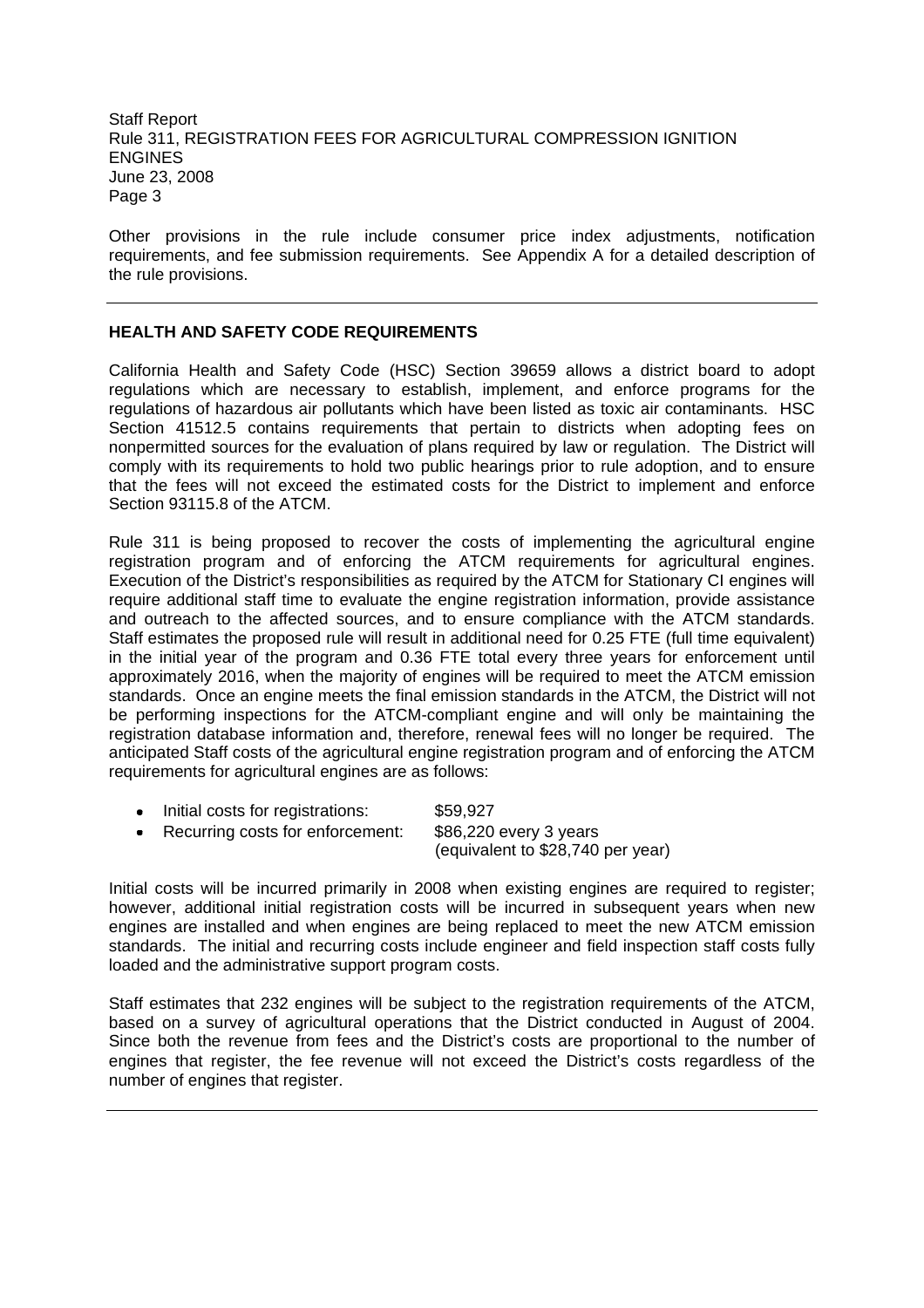Other provisions in the rule include consumer price index adjustments, notification requirements, and fee submission requirements. See Appendix A for a detailed description of the rule provisions.

### **HEALTH AND SAFETY CODE REQUIREMENTS**

California Health and Safety Code (HSC) Section 39659 allows a district board to adopt regulations which are necessary to establish, implement, and enforce programs for the regulations of hazardous air pollutants which have been listed as toxic air contaminants. HSC Section 41512.5 contains requirements that pertain to districts when adopting fees on nonpermitted sources for the evaluation of plans required by law or regulation. The District will comply with its requirements to hold two public hearings prior to rule adoption, and to ensure that the fees will not exceed the estimated costs for the District to implement and enforce Section 93115.8 of the ATCM.

Rule 311 is being proposed to recover the costs of implementing the agricultural engine registration program and of enforcing the ATCM requirements for agricultural engines. Execution of the District's responsibilities as required by the ATCM for Stationary CI engines will require additional staff time to evaluate the engine registration information, provide assistance and outreach to the affected sources, and to ensure compliance with the ATCM standards. Staff estimates the proposed rule will result in additional need for 0.25 FTE (full time equivalent) in the initial year of the program and 0.36 FTE total every three years for enforcement until approximately 2016, when the majority of engines will be required to meet the ATCM emission standards. Once an engine meets the final emission standards in the ATCM, the District will not be performing inspections for the ATCM-compliant engine and will only be maintaining the registration database information and, therefore, renewal fees will no longer be required. The anticipated Staff costs of the agricultural engine registration program and of enforcing the ATCM requirements for agricultural engines are as follows:

|           | • Initial costs for registrations: | \$59,927                          |
|-----------|------------------------------------|-----------------------------------|
| $\bullet$ | Recurring costs for enforcement:   | \$86,220 every 3 years            |
|           |                                    | (equivalent to \$28,740 per year) |

Initial costs will be incurred primarily in 2008 when existing engines are required to register; however, additional initial registration costs will be incurred in subsequent years when new engines are installed and when engines are being replaced to meet the new ATCM emission standards. The initial and recurring costs include engineer and field inspection staff costs fully loaded and the administrative support program costs.

Staff estimates that 232 engines will be subject to the registration requirements of the ATCM, based on a survey of agricultural operations that the District conducted in August of 2004. Since both the revenue from fees and the District's costs are proportional to the number of engines that register, the fee revenue will not exceed the District's costs regardless of the number of engines that register.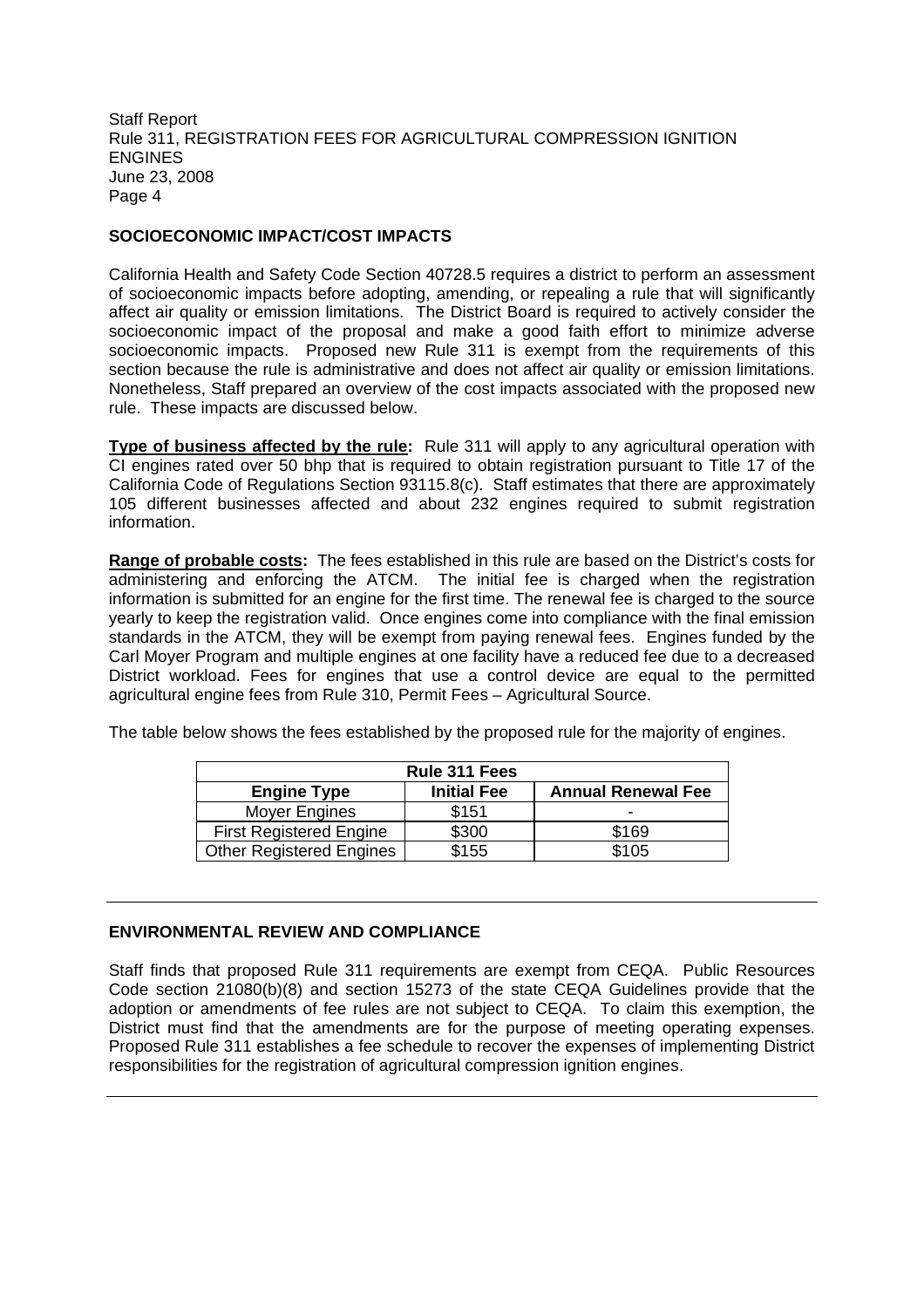### **SOCIOECONOMIC IMPACT/COST IMPACTS**

California Health and Safety Code Section 40728.5 requires a district to perform an assessment of socioeconomic impacts before adopting, amending, or repealing a rule that will significantly affect air quality or emission limitations. The District Board is required to actively consider the socioeconomic impact of the proposal and make a good faith effort to minimize adverse socioeconomic impacts. Proposed new Rule 311 is exempt from the requirements of this section because the rule is administrative and does not affect air quality or emission limitations. Nonetheless, Staff prepared an overview of the cost impacts associated with the proposed new rule. These impacts are discussed below.

**Type of business affected by the rule:** Rule 311 will apply to any agricultural operation with CI engines rated over 50 bhp that is required to obtain registration pursuant to Title 17 of the California Code of Regulations Section 93115.8(c). Staff estimates that there are approximately 105 different businesses affected and about 232 engines required to submit registration information.

**Range of probable costs:** The fees established in this rule are based on the District's costs for administering and enforcing the ATCM. The initial fee is charged when the registration information is submitted for an engine for the first time. The renewal fee is charged to the source yearly to keep the registration valid. Once engines come into compliance with the final emission standards in the ATCM, they will be exempt from paying renewal fees. Engines funded by the Carl Moyer Program and multiple engines at one facility have a reduced fee due to a decreased District workload. Fees for engines that use a control device are equal to the permitted agricultural engine fees from Rule 310, Permit Fees – Agricultural Source.

The table below shows the fees established by the proposed rule for the majority of engines.

| Rule 311 Fees                   |                    |                           |
|---------------------------------|--------------------|---------------------------|
| <b>Engine Type</b>              | <b>Initial Fee</b> | <b>Annual Renewal Fee</b> |
| Moyer Engines                   | \$151              |                           |
| <b>First Registered Engine</b>  | \$300              | \$169                     |
| <b>Other Registered Engines</b> | \$155              | \$105                     |

# **ENVIRONMENTAL REVIEW AND COMPLIANCE**

Staff finds that proposed Rule 311 requirements are exempt from CEQA. Public Resources Code section 21080(b)(8) and section 15273 of the state CEQA Guidelines provide that the adoption or amendments of fee rules are not subject to CEQA. To claim this exemption, the District must find that the amendments are for the purpose of meeting operating expenses. Proposed Rule 311 establishes a fee schedule to recover the expenses of implementing District responsibilities for the registration of agricultural compression ignition engines.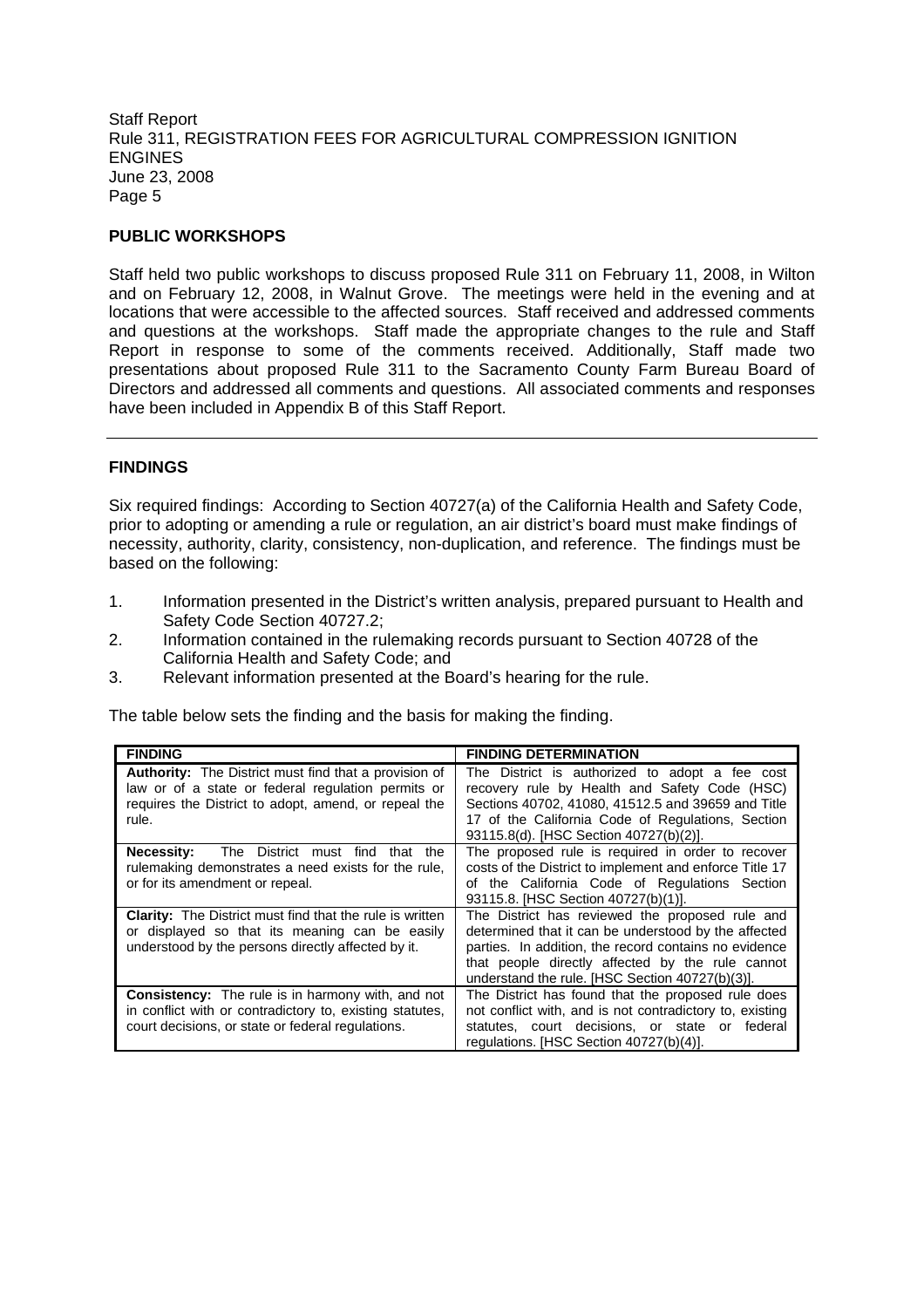## **PUBLIC WORKSHOPS**

Staff held two public workshops to discuss proposed Rule 311 on February 11, 2008, in Wilton and on February 12, 2008, in Walnut Grove. The meetings were held in the evening and at locations that were accessible to the affected sources. Staff received and addressed comments and questions at the workshops. Staff made the appropriate changes to the rule and Staff Report in response to some of the comments received. Additionally, Staff made two presentations about proposed Rule 311 to the Sacramento County Farm Bureau Board of Directors and addressed all comments and questions. All associated comments and responses have been included in Appendix B of this Staff Report.

### **FINDINGS**

Six required findings: According to Section 40727(a) of the California Health and Safety Code, prior to adopting or amending a rule or regulation, an air district's board must make findings of necessity, authority, clarity, consistency, non-duplication, and reference. The findings must be based on the following:

- 1. Information presented in the District's written analysis, prepared pursuant to Health and Safety Code Section 40727.2;
- 2. Information contained in the rulemaking records pursuant to Section 40728 of the California Health and Safety Code; and
- 3. Relevant information presented at the Board's hearing for the rule.

The table below sets the finding and the basis for making the finding.

| <b>FINDING</b>                                                                                                                                                                      | <b>FINDING DETERMINATION</b>                                                                                                                                                                                                                                            |
|-------------------------------------------------------------------------------------------------------------------------------------------------------------------------------------|-------------------------------------------------------------------------------------------------------------------------------------------------------------------------------------------------------------------------------------------------------------------------|
| <b>Authority:</b> The District must find that a provision of<br>law or of a state or federal regulation permits or<br>requires the District to adopt, amend, or repeal the<br>rule. | The District is authorized to adopt a fee cost<br>recovery rule by Health and Safety Code (HSC)<br>Sections 40702, 41080, 41512.5 and 39659 and Title<br>17 of the California Code of Regulations, Section<br>93115.8(d). [HSC Section 40727(b)(2)].                    |
| <b>Necessity:</b> The District must find<br>that the<br>rulemaking demonstrates a need exists for the rule.<br>or for its amendment or repeal.                                      | The proposed rule is required in order to recover<br>costs of the District to implement and enforce Title 17<br>of the California Code of Regulations Section<br>93115.8. [HSC Section 40727(b)(1)].                                                                    |
| <b>Clarity:</b> The District must find that the rule is written<br>or displayed so that its meaning can be easily<br>understood by the persons directly affected by it.             | The District has reviewed the proposed rule and<br>determined that it can be understood by the affected<br>parties. In addition, the record contains no evidence<br>that people directly affected by the rule cannot<br>understand the rule. [HSC Section 40727(b)(3)]. |
| <b>Consistency:</b> The rule is in harmony with, and not<br>in conflict with or contradictory to, existing statutes,<br>court decisions, or state or federal regulations.           | The District has found that the proposed rule does<br>not conflict with, and is not contradictory to, existing<br>statutes, court decisions, or state or<br>federal<br>regulations. [HSC Section 40727(b)(4)].                                                          |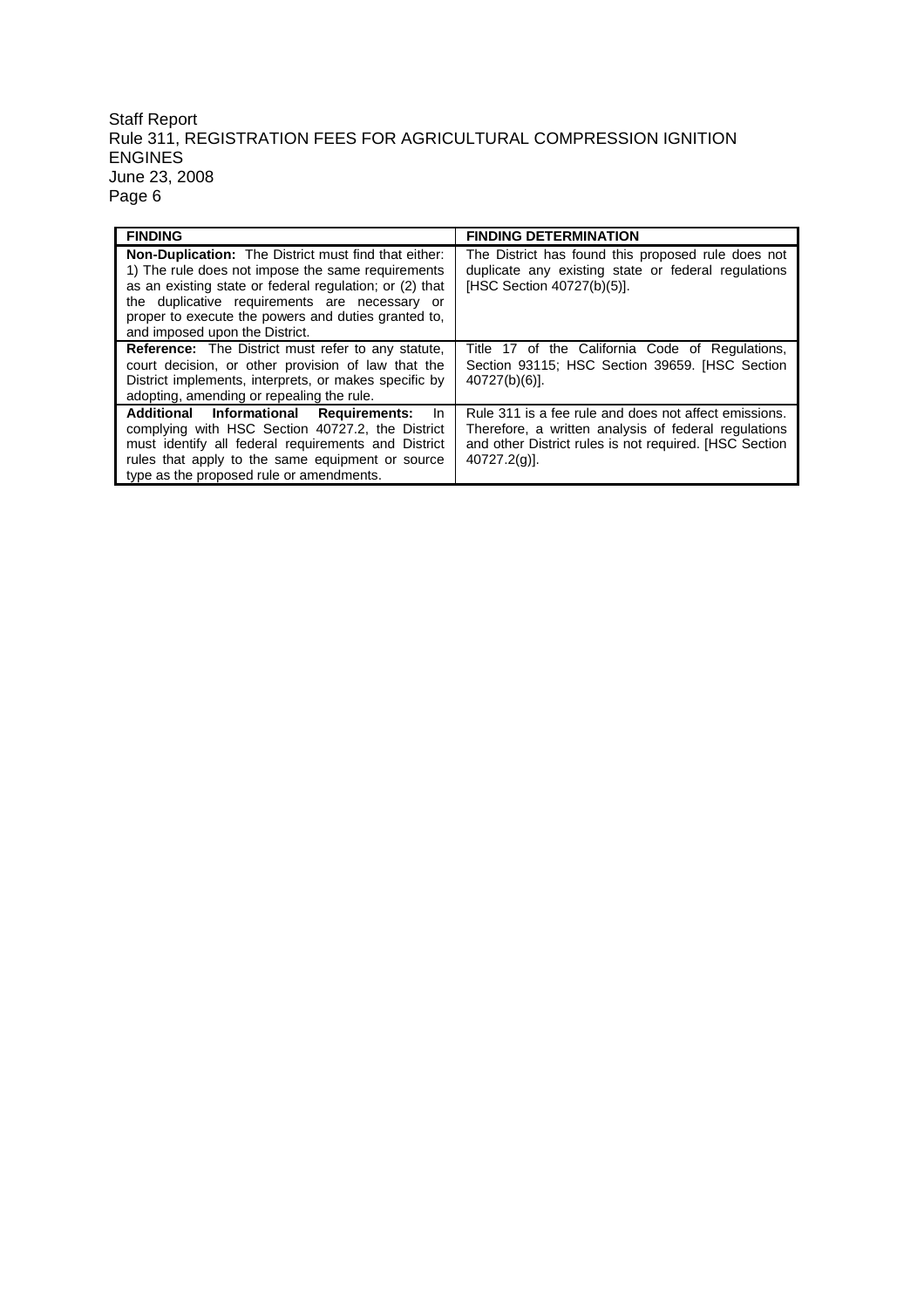| <b>FINDING</b>                                                                                                                                                                                                                                                                                                        | <b>FINDING DETERMINATION</b>                                                                                                                                                               |
|-----------------------------------------------------------------------------------------------------------------------------------------------------------------------------------------------------------------------------------------------------------------------------------------------------------------------|--------------------------------------------------------------------------------------------------------------------------------------------------------------------------------------------|
| <b>Non-Duplication:</b> The District must find that either:<br>1) The rule does not impose the same requirements<br>as an existing state or federal regulation; or (2) that<br>the duplicative requirements are necessary or<br>proper to execute the powers and duties granted to,<br>and imposed upon the District. | The District has found this proposed rule does not<br>duplicate any existing state or federal regulations<br>[HSC Section 40727(b)(5)].                                                    |
| <b>Reference:</b> The District must refer to any statute,<br>court decision, or other provision of law that the<br>District implements, interprets, or makes specific by<br>adopting, amending or repealing the rule.                                                                                                 | Title 17 of the California Code of Regulations,<br>Section 93115; HSC Section 39659. [HSC Section<br>$40727(b)(6)$ ].                                                                      |
| Additional Informational Requirements:<br><b>In</b><br>complying with HSC Section 40727.2, the District<br>must identify all federal requirements and District<br>rules that apply to the same equipment or source<br>type as the proposed rule or amendments.                                                        | Rule 311 is a fee rule and does not affect emissions.<br>Therefore, a written analysis of federal regulations<br>and other District rules is not required. [HSC Section<br>$40727.2(q)$ ]. |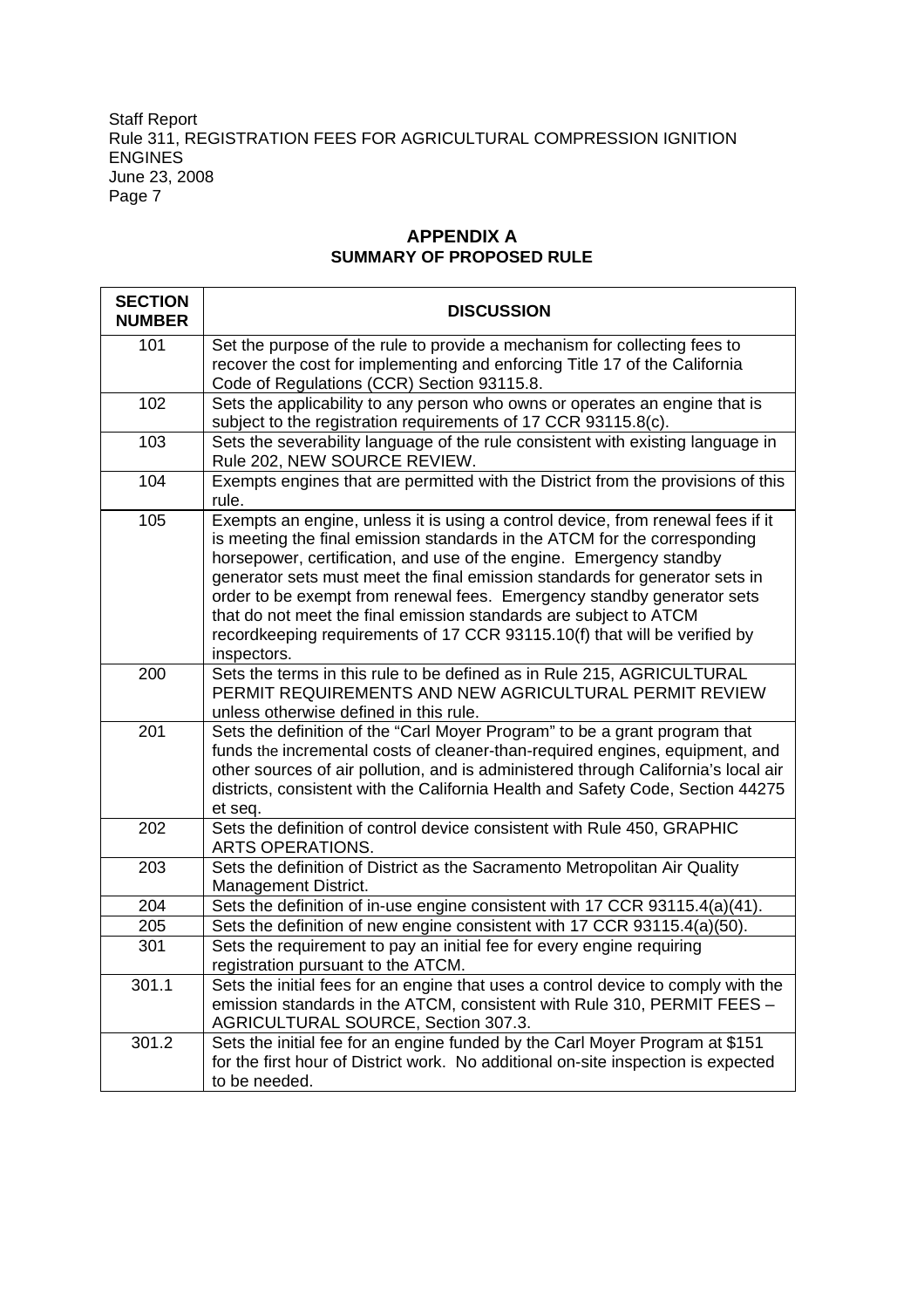# **APPENDIX A SUMMARY OF PROPOSED RULE**

| <b>SECTION</b><br><b>NUMBER</b> | <b>DISCUSSION</b>                                                                                                                                                                                                                                                                                                                                                                                                                                                                                                                                             |
|---------------------------------|---------------------------------------------------------------------------------------------------------------------------------------------------------------------------------------------------------------------------------------------------------------------------------------------------------------------------------------------------------------------------------------------------------------------------------------------------------------------------------------------------------------------------------------------------------------|
| 101                             | Set the purpose of the rule to provide a mechanism for collecting fees to<br>recover the cost for implementing and enforcing Title 17 of the California<br>Code of Regulations (CCR) Section 93115.8.                                                                                                                                                                                                                                                                                                                                                         |
| 102                             | Sets the applicability to any person who owns or operates an engine that is<br>subject to the registration requirements of 17 CCR 93115.8(c).                                                                                                                                                                                                                                                                                                                                                                                                                 |
| 103                             | Sets the severability language of the rule consistent with existing language in<br>Rule 202, NEW SOURCE REVIEW.                                                                                                                                                                                                                                                                                                                                                                                                                                               |
| 104                             | Exempts engines that are permitted with the District from the provisions of this<br>rule.                                                                                                                                                                                                                                                                                                                                                                                                                                                                     |
| 105                             | Exempts an engine, unless it is using a control device, from renewal fees if it<br>is meeting the final emission standards in the ATCM for the corresponding<br>horsepower, certification, and use of the engine. Emergency standby<br>generator sets must meet the final emission standards for generator sets in<br>order to be exempt from renewal fees. Emergency standby generator sets<br>that do not meet the final emission standards are subject to ATCM<br>recordkeeping requirements of 17 CCR 93115.10(f) that will be verified by<br>inspectors. |
| 200                             | Sets the terms in this rule to be defined as in Rule 215, AGRICULTURAL<br>PERMIT REQUIREMENTS AND NEW AGRICULTURAL PERMIT REVIEW<br>unless otherwise defined in this rule.                                                                                                                                                                                                                                                                                                                                                                                    |
| 201                             | Sets the definition of the "Carl Moyer Program" to be a grant program that<br>funds the incremental costs of cleaner-than-required engines, equipment, and<br>other sources of air pollution, and is administered through California's local air<br>districts, consistent with the California Health and Safety Code, Section 44275<br>et seq.                                                                                                                                                                                                                |
| 202                             | Sets the definition of control device consistent with Rule 450, GRAPHIC<br>ARTS OPERATIONS.                                                                                                                                                                                                                                                                                                                                                                                                                                                                   |
| 203                             | Sets the definition of District as the Sacramento Metropolitan Air Quality<br>Management District.                                                                                                                                                                                                                                                                                                                                                                                                                                                            |
| 204                             | Sets the definition of in-use engine consistent with 17 CCR 93115.4(a)(41).                                                                                                                                                                                                                                                                                                                                                                                                                                                                                   |
| 205                             | Sets the definition of new engine consistent with 17 CCR 93115.4(a)(50).                                                                                                                                                                                                                                                                                                                                                                                                                                                                                      |
| 301                             | Sets the requirement to pay an initial fee for every engine requiring<br>registration pursuant to the ATCM.                                                                                                                                                                                                                                                                                                                                                                                                                                                   |
| 301.1                           | Sets the initial fees for an engine that uses a control device to comply with the<br>emission standards in the ATCM, consistent with Rule 310, PERMIT FEES -<br>AGRICULTURAL SOURCE, Section 307.3.                                                                                                                                                                                                                                                                                                                                                           |
| 301.2                           | Sets the initial fee for an engine funded by the Carl Moyer Program at \$151<br>for the first hour of District work. No additional on-site inspection is expected<br>to be needed.                                                                                                                                                                                                                                                                                                                                                                            |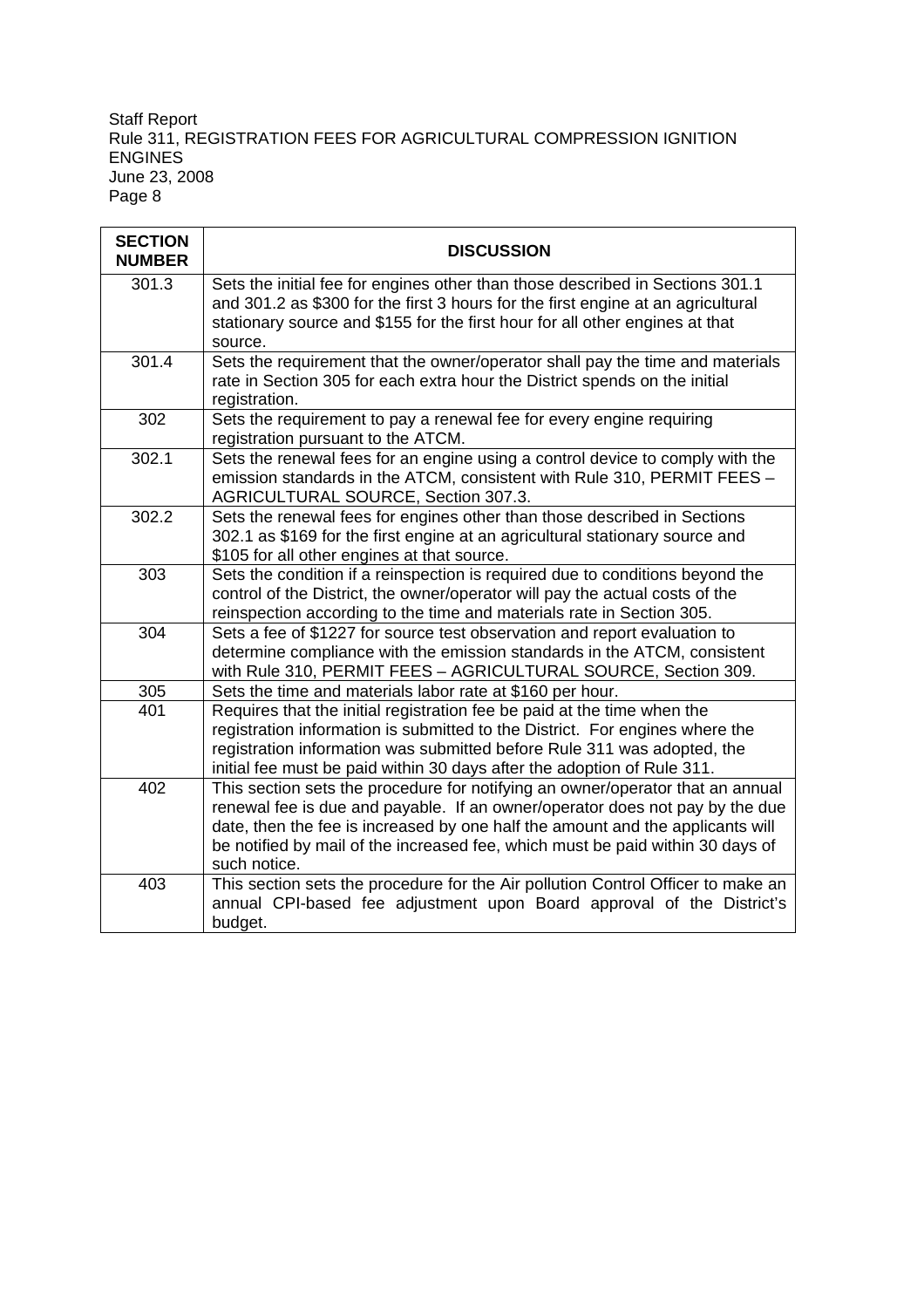| <b>SECTION</b><br><b>NUMBER</b> | <b>DISCUSSION</b>                                                                                                                                                                                                                                                                                                                                  |
|---------------------------------|----------------------------------------------------------------------------------------------------------------------------------------------------------------------------------------------------------------------------------------------------------------------------------------------------------------------------------------------------|
| 301.3                           | Sets the initial fee for engines other than those described in Sections 301.1<br>and 301.2 as \$300 for the first 3 hours for the first engine at an agricultural<br>stationary source and \$155 for the first hour for all other engines at that<br>source.                                                                                       |
| 301.4                           | Sets the requirement that the owner/operator shall pay the time and materials<br>rate in Section 305 for each extra hour the District spends on the initial<br>registration.                                                                                                                                                                       |
| 302                             | Sets the requirement to pay a renewal fee for every engine requiring<br>registration pursuant to the ATCM.                                                                                                                                                                                                                                         |
| 302.1                           | Sets the renewal fees for an engine using a control device to comply with the<br>emission standards in the ATCM, consistent with Rule 310, PERMIT FEES -<br>AGRICULTURAL SOURCE, Section 307.3.                                                                                                                                                    |
| 302.2                           | Sets the renewal fees for engines other than those described in Sections<br>302.1 as \$169 for the first engine at an agricultural stationary source and<br>\$105 for all other engines at that source.                                                                                                                                            |
| 303                             | Sets the condition if a reinspection is required due to conditions beyond the<br>control of the District, the owner/operator will pay the actual costs of the<br>reinspection according to the time and materials rate in Section 305.                                                                                                             |
| 304                             | Sets a fee of \$1227 for source test observation and report evaluation to<br>determine compliance with the emission standards in the ATCM, consistent<br>with Rule 310, PERMIT FEES - AGRICULTURAL SOURCE, Section 309.                                                                                                                            |
| 305                             | Sets the time and materials labor rate at \$160 per hour.                                                                                                                                                                                                                                                                                          |
| 401                             | Requires that the initial registration fee be paid at the time when the<br>registration information is submitted to the District. For engines where the<br>registration information was submitted before Rule 311 was adopted, the<br>initial fee must be paid within 30 days after the adoption of Rule 311.                                      |
| 402                             | This section sets the procedure for notifying an owner/operator that an annual<br>renewal fee is due and payable. If an owner/operator does not pay by the due<br>date, then the fee is increased by one half the amount and the applicants will<br>be notified by mail of the increased fee, which must be paid within 30 days of<br>such notice. |
| 403                             | This section sets the procedure for the Air pollution Control Officer to make an<br>annual CPI-based fee adjustment upon Board approval of the District's<br>budget.                                                                                                                                                                               |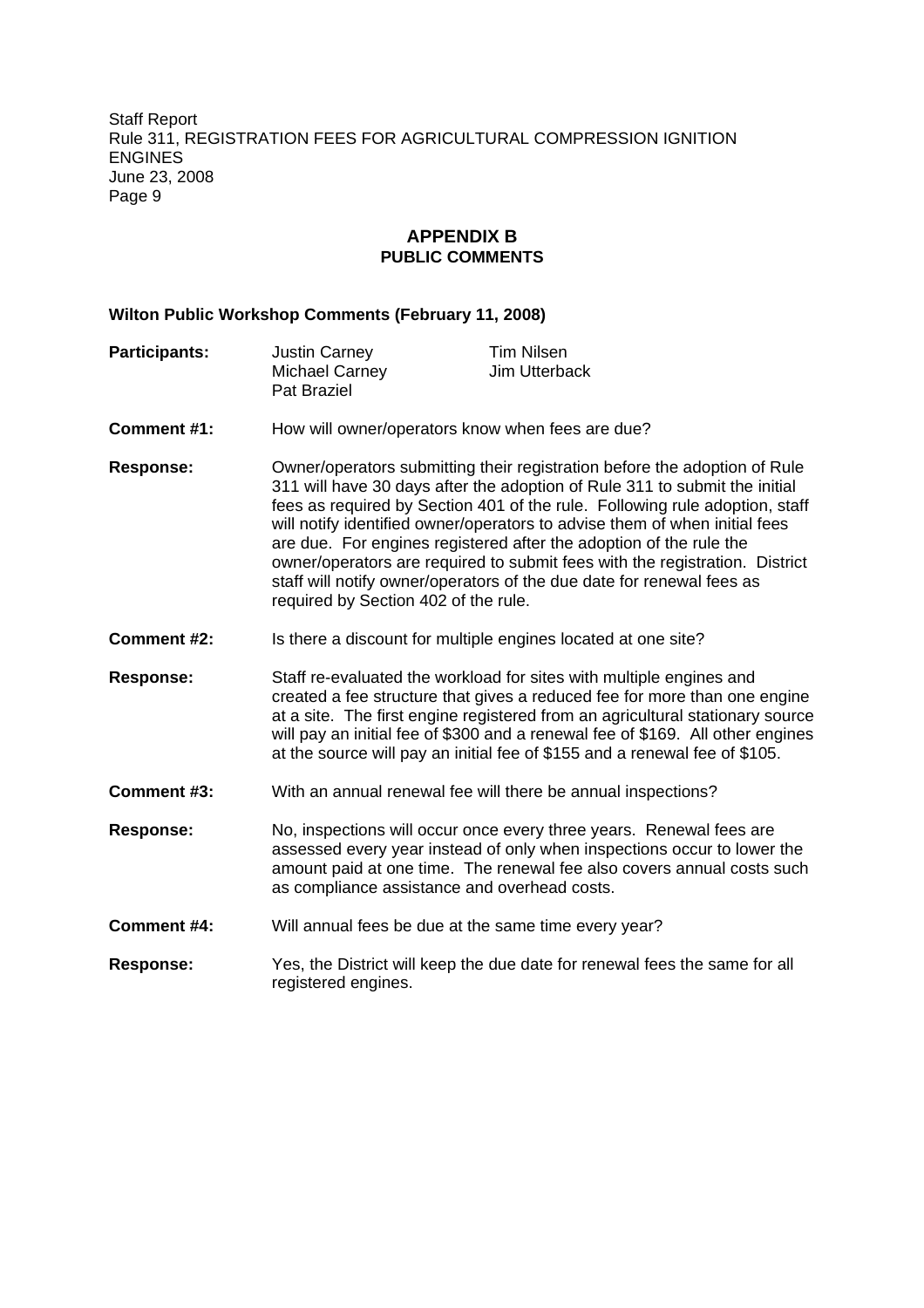# **APPENDIX B PUBLIC COMMENTS**

#### **Wilton Public Workshop Comments (February 11, 2008)**

| <b>Participants:</b> | <b>Justin Carney</b> | Tim Nilsen    |
|----------------------|----------------------|---------------|
|                      | Michael Carney       | Jim Utterback |
|                      | Pat Braziel          |               |

- **Comment #1:** How will owner/operators know when fees are due?
- **Response:** Owner/operators submitting their registration before the adoption of Rule 311 will have 30 days after the adoption of Rule 311 to submit the initial fees as required by Section 401 of the rule. Following rule adoption, staff will notify identified owner/operators to advise them of when initial fees are due. For engines registered after the adoption of the rule the owner/operators are required to submit fees with the registration. District staff will notify owner/operators of the due date for renewal fees as required by Section 402 of the rule.
- **Comment #2:** Is there a discount for multiple engines located at one site?
- **Response:** Staff re-evaluated the workload for sites with multiple engines and created a fee structure that gives a reduced fee for more than one engine at a site. The first engine registered from an agricultural stationary source will pay an initial fee of \$300 and a renewal fee of \$169. All other engines at the source will pay an initial fee of \$155 and a renewal fee of \$105.
- **Comment #3:** With an annual renewal fee will there be annual inspections?
- **Response:** No, inspections will occur once every three years. Renewal fees are assessed every year instead of only when inspections occur to lower the amount paid at one time. The renewal fee also covers annual costs such as compliance assistance and overhead costs.
- **Comment #4:** Will annual fees be due at the same time every year?
- **Response:** Yes, the District will keep the due date for renewal fees the same for all registered engines.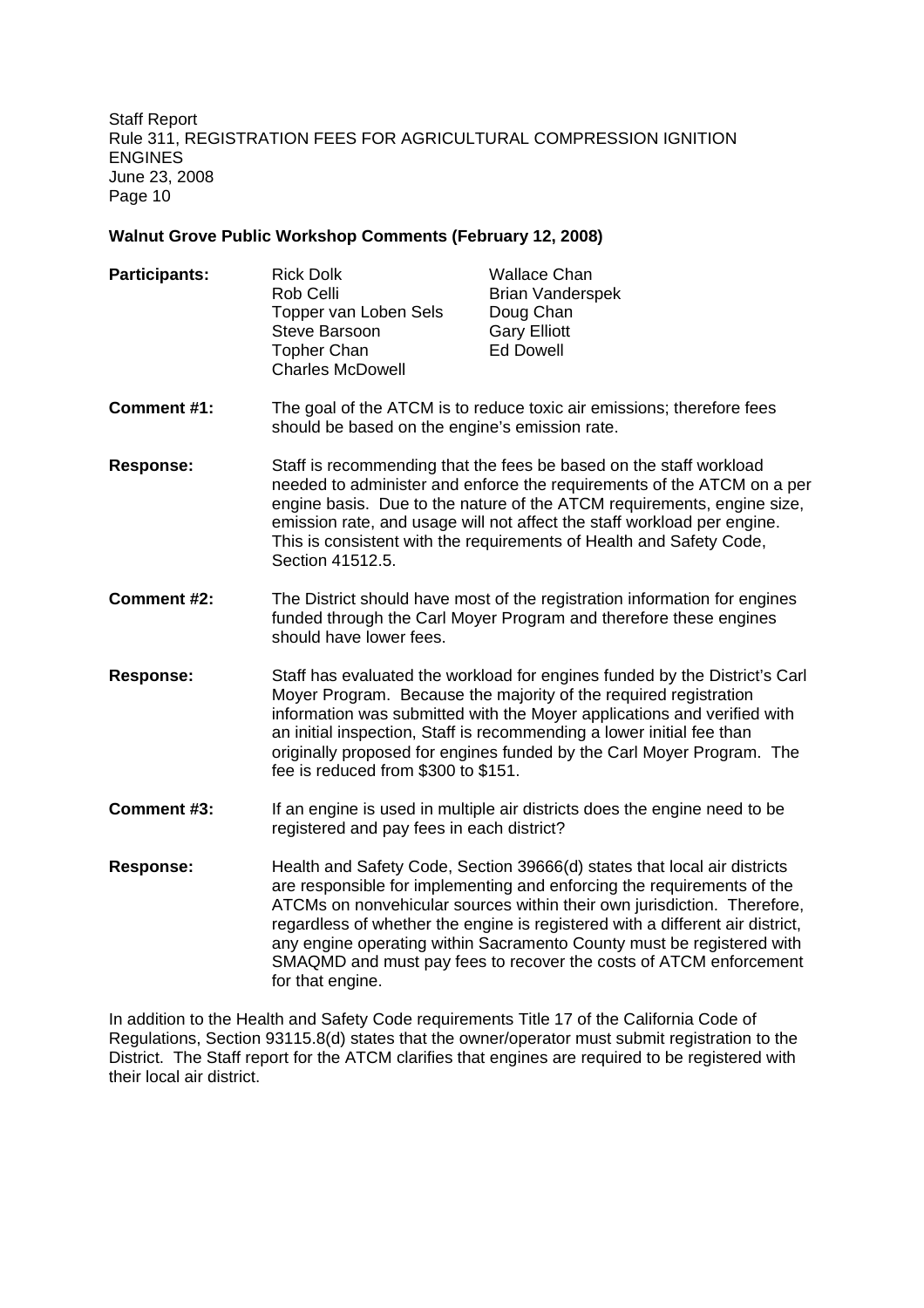#### **Walnut Grove Public Workshop Comments (February 12, 2008)**

| <b>Participants:</b> | <b>Rick Dolk</b>                                                      | <b>Wallace Chan</b>     |  |
|----------------------|-----------------------------------------------------------------------|-------------------------|--|
|                      | Rob Celli                                                             | <b>Brian Vanderspek</b> |  |
|                      | Topper van Loben Sels                                                 | Doug Chan               |  |
|                      | Steve Barsoon                                                         | <b>Gary Elliott</b>     |  |
|                      | <b>Topher Chan</b>                                                    | <b>Ed Dowell</b>        |  |
|                      | <b>Charles McDowell</b>                                               |                         |  |
| <b>Comment #1:</b>   | The goal of the ATCM is to reduce toxic air emissions; therefore fees |                         |  |
|                      | should be based on the engine's emission rate.                        |                         |  |

- **Response:** Staff is recommending that the fees be based on the staff workload needed to administer and enforce the requirements of the ATCM on a per engine basis. Due to the nature of the ATCM requirements, engine size, emission rate, and usage will not affect the staff workload per engine. This is consistent with the requirements of Health and Safety Code, Section 41512.5.
- **Comment #2:** The District should have most of the registration information for engines funded through the Carl Moyer Program and therefore these engines should have lower fees.
- **Response:** Staff has evaluated the workload for engines funded by the District's Carl Moyer Program. Because the majority of the required registration information was submitted with the Moyer applications and verified with an initial inspection, Staff is recommending a lower initial fee than originally proposed for engines funded by the Carl Moyer Program. The fee is reduced from \$300 to \$151.
- **Comment #3:** If an engine is used in multiple air districts does the engine need to be registered and pay fees in each district?
- **Response:** Health and Safety Code, Section 39666(d) states that local air districts are responsible for implementing and enforcing the requirements of the ATCMs on nonvehicular sources within their own jurisdiction. Therefore, regardless of whether the engine is registered with a different air district, any engine operating within Sacramento County must be registered with SMAQMD and must pay fees to recover the costs of ATCM enforcement for that engine.

In addition to the Health and Safety Code requirements Title 17 of the California Code of Regulations, Section 93115.8(d) states that the owner/operator must submit registration to the District. The Staff report for the ATCM clarifies that engines are required to be registered with their local air district.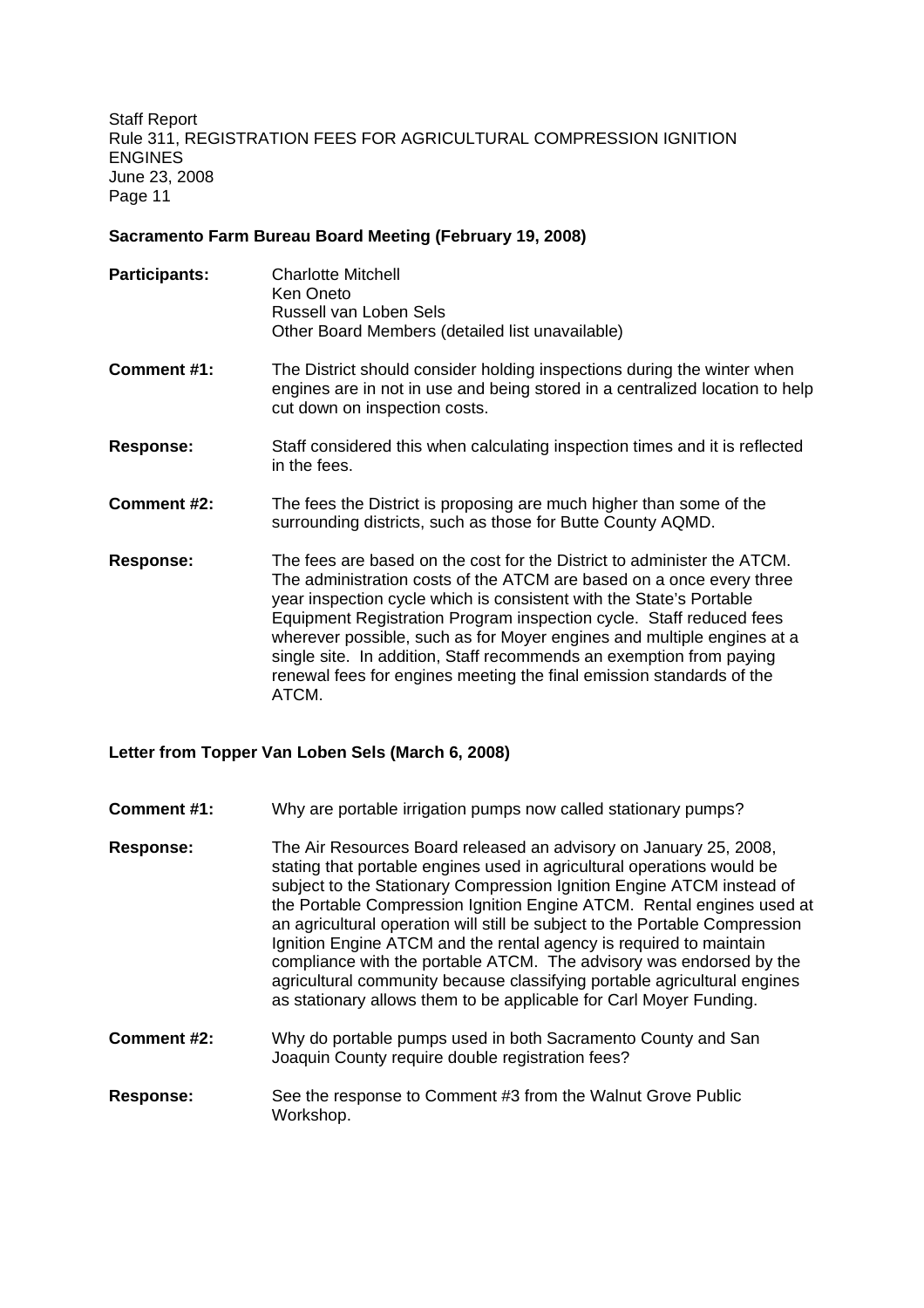#### **Sacramento Farm Bureau Board Meeting (February 19, 2008)**

| <b>Participants:</b> | <b>Charlotte Mitchell</b><br>Ken Oneto<br>Russell van Loben Sels<br>Other Board Members (detailed list unavailable)                                                                      |
|----------------------|------------------------------------------------------------------------------------------------------------------------------------------------------------------------------------------|
| Comment #1:          | The District should consider holding inspections during the winter when<br>engines are in not in use and being stored in a centralized location to help<br>cut down on inspection costs. |
| <b>Response:</b>     | Staff considered this when calculating inspection times and it is reflected<br>in the fees.                                                                                              |
| Comment #2:          | The fees the District is proposing are much higher than some of the<br>surrounding districts, such as those for Butte County AQMD.                                                       |
| <b>Desires</b>       | The feasing beased as the seat farther District to administer the $\Lambda TCM$                                                                                                          |

**Response:** The fees are based on the cost for the District to administer the ATCM. The administration costs of the ATCM are based on a once every three year inspection cycle which is consistent with the State's Portable Equipment Registration Program inspection cycle. Staff reduced fees wherever possible, such as for Moyer engines and multiple engines at a single site. In addition, Staff recommends an exemption from paying renewal fees for engines meeting the final emission standards of the ATCM.

# **Letter from Topper Van Loben Sels (March 6, 2008)**

- **Comment #1:** Why are portable irrigation pumps now called stationary pumps?
- **Response:** The Air Resources Board released an advisory on January 25, 2008, stating that portable engines used in agricultural operations would be subject to the Stationary Compression Ignition Engine ATCM instead of the Portable Compression Ignition Engine ATCM. Rental engines used at an agricultural operation will still be subject to the Portable Compression Ignition Engine ATCM and the rental agency is required to maintain compliance with the portable ATCM. The advisory was endorsed by the agricultural community because classifying portable agricultural engines as stationary allows them to be applicable for Carl Moyer Funding.
- **Comment #2:** Why do portable pumps used in both Sacramento County and San Joaquin County require double registration fees?
- **Response:** See the response to Comment #3 from the Walnut Grove Public Workshop.